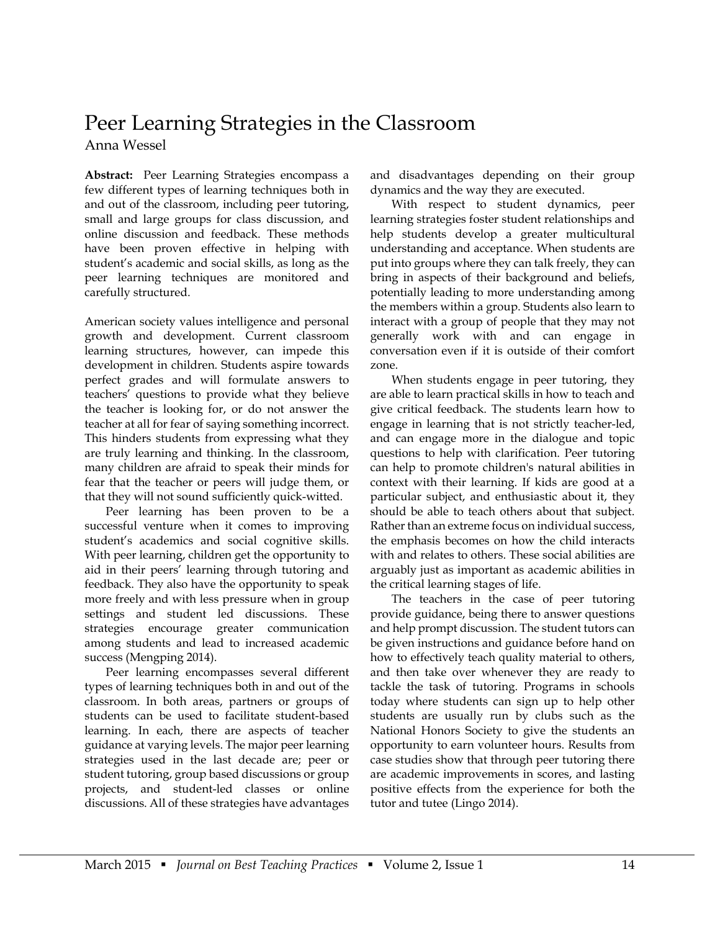## Peer Learning Strategies in the Classroom Anna Wessel

**Abstract:** Peer Learning Strategies encompass a few different types of learning techniques both in and out of the classroom, including peer tutoring, small and large groups for class discussion, and online discussion and feedback. These methods have been proven effective in helping with student's academic and social skills, as long as the peer learning techniques are monitored and carefully structured.

American society values intelligence and personal growth and development. Current classroom learning structures, however, can impede this development in children. Students aspire towards perfect grades and will formulate answers to teachers' questions to provide what they believe the teacher is looking for, or do not answer the teacher at all for fear of saying something incorrect. This hinders students from expressing what they are truly learning and thinking. In the classroom, many children are afraid to speak their minds for fear that the teacher or peers will judge them, or that they will not sound sufficiently quick-witted.

Peer learning has been proven to be a successful venture when it comes to improving student's academics and social cognitive skills. With peer learning, children get the opportunity to aid in their peers' learning through tutoring and feedback. They also have the opportunity to speak more freely and with less pressure when in group settings and student led discussions. These strategies encourage greater communication among students and lead to increased academic success (Mengping 2014).

Peer learning encompasses several different types of learning techniques both in and out of the classroom. In both areas, partners or groups of students can be used to facilitate student-based learning. In each, there are aspects of teacher guidance at varying levels. The major peer learning strategies used in the last decade are; peer or student tutoring, group based discussions or group projects, and student-led classes or online discussions. All of these strategies have advantages

and disadvantages depending on their group dynamics and the way they are executed.

With respect to student dynamics, peer learning strategies foster student relationships and help students develop a greater multicultural understanding and acceptance. When students are put into groups where they can talk freely, they can bring in aspects of their background and beliefs, potentially leading to more understanding among the members within a group. Students also learn to interact with a group of people that they may not generally work with and can engage in conversation even if it is outside of their comfort zone.

When students engage in peer tutoring, they are able to learn practical skills in how to teach and give critical feedback. The students learn how to engage in learning that is not strictly teacher-led, and can engage more in the dialogue and topic questions to help with clarification. Peer tutoring can help to promote children's natural abilities in context with their learning. If kids are good at a particular subject, and enthusiastic about it, they should be able to teach others about that subject. Rather than an extreme focus on individual success, the emphasis becomes on how the child interacts with and relates to others. These social abilities are arguably just as important as academic abilities in the critical learning stages of life.

The teachers in the case of peer tutoring provide guidance, being there to answer questions and help prompt discussion. The student tutors can be given instructions and guidance before hand on how to effectively teach quality material to others, and then take over whenever they are ready to tackle the task of tutoring. Programs in schools today where students can sign up to help other students are usually run by clubs such as the National Honors Society to give the students an opportunity to earn volunteer hours. Results from case studies show that through peer tutoring there are academic improvements in scores, and lasting positive effects from the experience for both the tutor and tutee (Lingo 2014).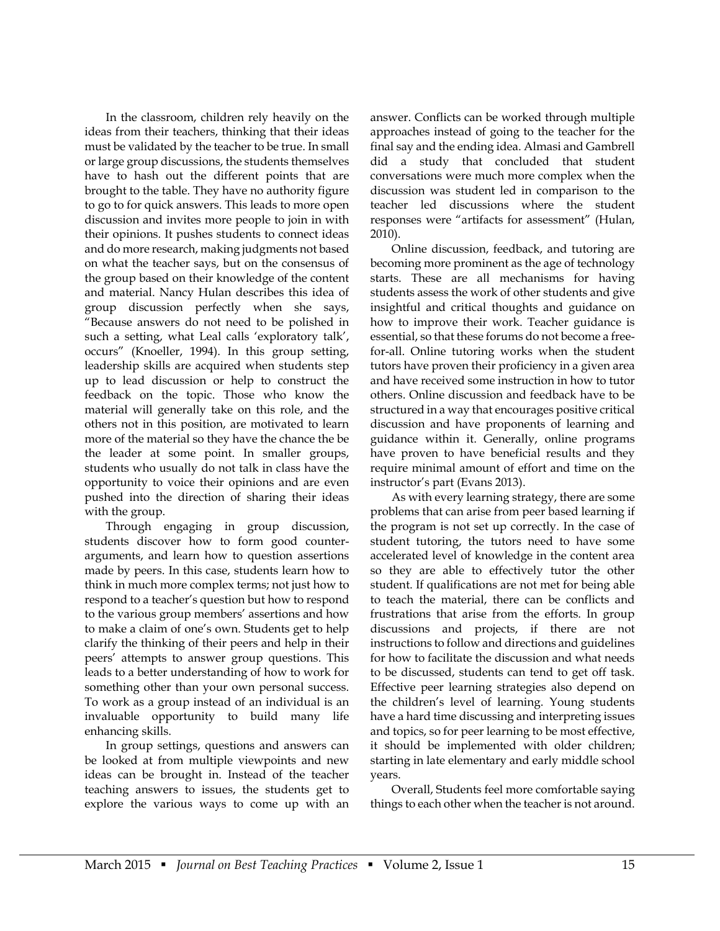In the classroom, children rely heavily on the ideas from their teachers, thinking that their ideas must be validated by the teacher to be true. In small or large group discussions, the students themselves have to hash out the different points that are brought to the table. They have no authority figure to go to for quick answers. This leads to more open discussion and invites more people to join in with their opinions. It pushes students to connect ideas and do more research, making judgments not based on what the teacher says, but on the consensus of the group based on their knowledge of the content and material. Nancy Hulan describes this idea of group discussion perfectly when she says, "Because answers do not need to be polished in such a setting, what Leal calls 'exploratory talk', occurs" (Knoeller, 1994). In this group setting, leadership skills are acquired when students step up to lead discussion or help to construct the feedback on the topic. Those who know the material will generally take on this role, and the others not in this position, are motivated to learn more of the material so they have the chance the be the leader at some point. In smaller groups, students who usually do not talk in class have the opportunity to voice their opinions and are even pushed into the direction of sharing their ideas with the group.

Through engaging in group discussion, students discover how to form good counterarguments, and learn how to question assertions made by peers. In this case, students learn how to think in much more complex terms; not just how to respond to a teacher's question but how to respond to the various group members' assertions and how to make a claim of one's own. Students get to help clarify the thinking of their peers and help in their peers' attempts to answer group questions. This leads to a better understanding of how to work for something other than your own personal success. To work as a group instead of an individual is an invaluable opportunity to build many life enhancing skills.

In group settings, questions and answers can be looked at from multiple viewpoints and new ideas can be brought in. Instead of the teacher teaching answers to issues, the students get to explore the various ways to come up with an

answer. Conflicts can be worked through multiple approaches instead of going to the teacher for the final say and the ending idea. Almasi and Gambrell did a study that concluded that student conversations were much more complex when the discussion was student led in comparison to the teacher led discussions where the student responses were "artifacts for assessment" (Hulan, 2010).

Online discussion, feedback, and tutoring are becoming more prominent as the age of technology starts. These are all mechanisms for having students assess the work of other students and give insightful and critical thoughts and guidance on how to improve their work. Teacher guidance is essential, so that these forums do not become a freefor-all. Online tutoring works when the student tutors have proven their proficiency in a given area and have received some instruction in how to tutor others. Online discussion and feedback have to be structured in a way that encourages positive critical discussion and have proponents of learning and guidance within it. Generally, online programs have proven to have beneficial results and they require minimal amount of effort and time on the instructor's part (Evans 2013).

As with every learning strategy, there are some problems that can arise from peer based learning if the program is not set up correctly. In the case of student tutoring, the tutors need to have some accelerated level of knowledge in the content area so they are able to effectively tutor the other student. If qualifications are not met for being able to teach the material, there can be conflicts and frustrations that arise from the efforts. In group discussions and projects, if there are not instructions to follow and directions and guidelines for how to facilitate the discussion and what needs to be discussed, students can tend to get off task. Effective peer learning strategies also depend on the children's level of learning. Young students have a hard time discussing and interpreting issues and topics, so for peer learning to be most effective, it should be implemented with older children; starting in late elementary and early middle school years.

Overall, Students feel more comfortable saying things to each other when the teacher is not around.